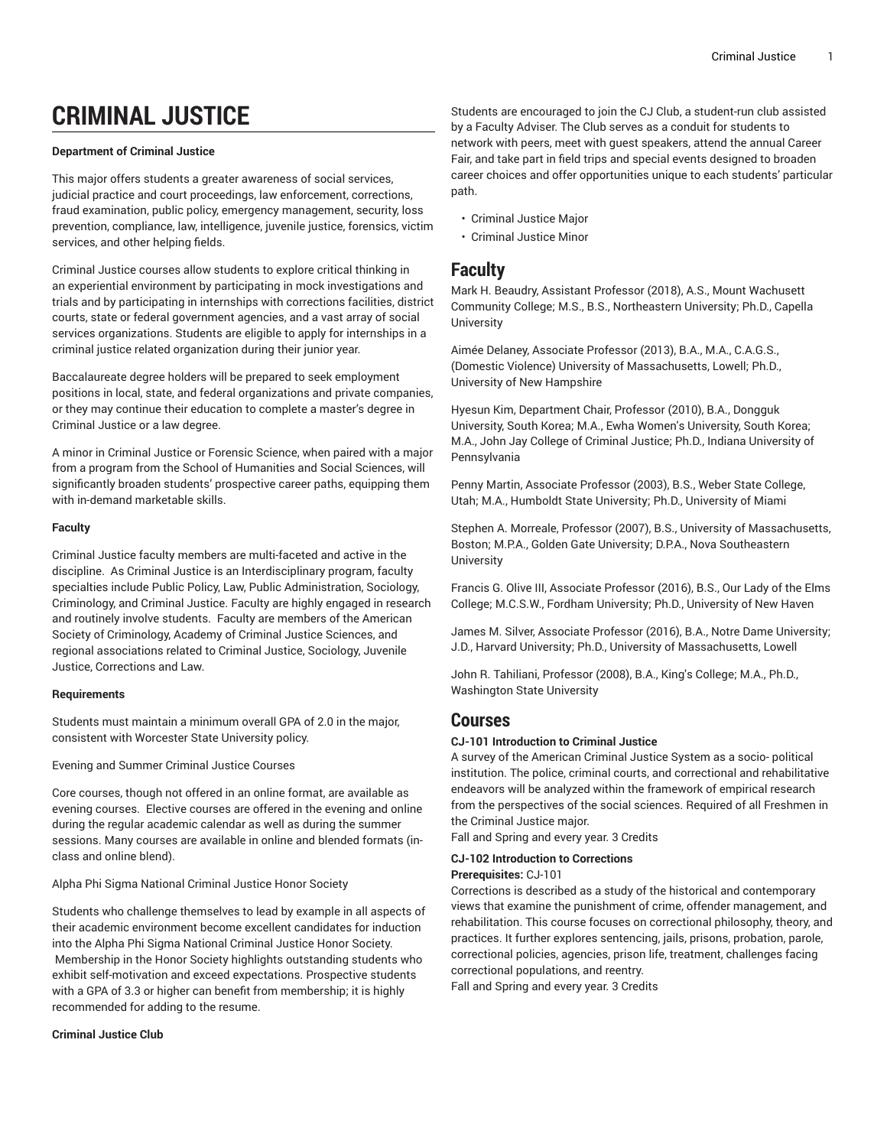# **CRIMINAL JUSTICE**

### **Department of Criminal Justice**

This major offers students a greater awareness of social services, judicial practice and court proceedings, law enforcement, corrections, fraud examination, public policy, emergency management, security, loss prevention, compliance, law, intelligence, juvenile justice, forensics, victim services, and other helping fields.

Criminal Justice courses allow students to explore critical thinking in an experiential environment by participating in mock investigations and trials and by participating in internships with corrections facilities, district courts, state or federal government agencies, and a vast array of social services organizations. Students are eligible to apply for internships in a criminal justice related organization during their junior year.

Baccalaureate degree holders will be prepared to seek employment positions in local, state, and federal organizations and private companies, or they may continue their education to complete a master's degree in Criminal Justice or a law degree.

A minor in Criminal Justice or Forensic Science, when paired with a major from a program from the School of Humanities and Social Sciences, will significantly broaden students' prospective career paths, equipping them with in-demand marketable skills.

# **Faculty**

Criminal Justice faculty members are multi-faceted and active in the discipline. As Criminal Justice is an Interdisciplinary program, faculty specialties include Public Policy, Law, Public Administration, Sociology, Criminology, and Criminal Justice. Faculty are highly engaged in research and routinely involve students. Faculty are members of the American Society of Criminology, Academy of Criminal Justice Sciences, and regional associations related to Criminal Justice, Sociology, Juvenile Justice, Corrections and Law.

#### **Requirements**

Students must maintain a minimum overall GPA of 2.0 in the major, consistent with Worcester State University policy.

Evening and Summer Criminal Justice Courses

Core courses, though not offered in an online format, are available as evening courses. Elective courses are offered in the evening and online during the regular academic calendar as well as during the summer sessions. Many courses are available in online and blended formats (inclass and online blend).

Alpha Phi Sigma National Criminal Justice Honor Society

Students who challenge themselves to lead by example in all aspects of their academic environment become excellent candidates for induction into the Alpha Phi Sigma National Criminal Justice Honor Society. Membership in the Honor Society highlights outstanding students who exhibit self-motivation and exceed expectations. Prospective students with a GPA of 3.3 or higher can benefit from membership; it is highly recommended for adding to the resume.

#### **Criminal Justice Club**

Students are encouraged to join the CJ Club, a student-run club assisted by a Faculty Adviser. The Club serves as a conduit for students to network with peers, meet with guest speakers, attend the annual Career Fair, and take part in field trips and special events designed to broaden career choices and offer opportunities unique to each students' particular path.

- [Criminal Justice Major](http://catalog.worcester.edu/undergraduate/school-humanities-social-sciences/criminal-justice/major-criminal-justice/)
- [Criminal Justice Minor](http://catalog.worcester.edu/undergraduate/school-humanities-social-sciences/criminal-justice/minor-criminal-justice/)

# **Faculty**

Mark H. Beaudry, Assistant Professor (2018), A.S., Mount Wachusett Community College; M.S., B.S., Northeastern University; Ph.D., Capella University

Aimée Delaney, Associate Professor (2013), B.A., M.A., C.A.G.S., (Domestic Violence) University of Massachusetts, Lowell; Ph.D., University of New Hampshire

Hyesun Kim, Department Chair, Professor (2010), B.A., Dongguk University, South Korea; M.A., Ewha Women's University, South Korea; M.A., John Jay College of Criminal Justice; Ph.D., Indiana University of Pennsylvania

Penny Martin, Associate Professor (2003), B.S., Weber State College, Utah; M.A., Humboldt State University; Ph.D., University of Miami

Stephen A. Morreale, Professor (2007), B.S., University of Massachusetts, Boston; M.P.A., Golden Gate University; D.P.A., Nova Southeastern **University** 

Francis G. Olive III, Associate Professor (2016), B.S., Our Lady of the Elms College; M.C.S.W., Fordham University; Ph.D., University of New Haven

James M. Silver, Associate Professor (2016), B.A., Notre Dame University; J.D., Harvard University; Ph.D., University of Massachusetts, Lowell

John R. Tahiliani, Professor (2008), B.A., King's College; M.A., Ph.D., Washington State University

# **Courses**

# **CJ-101 Introduction to Criminal Justice**

A survey of the American Criminal Justice System as a socio- political institution. The police, criminal courts, and correctional and rehabilitative endeavors will be analyzed within the framework of empirical research from the perspectives of the social sciences. Required of all Freshmen in the Criminal Justice major.

Fall and Spring and every year. 3 Credits

# **CJ-102 Introduction to Corrections**

**Prerequisites:** CJ-101

Corrections is described as a study of the historical and contemporary views that examine the punishment of crime, offender management, and rehabilitation. This course focuses on correctional philosophy, theory, and practices. It further explores sentencing, jails, prisons, probation, parole, correctional policies, agencies, prison life, treatment, challenges facing correctional populations, and reentry.

Fall and Spring and every year. 3 Credits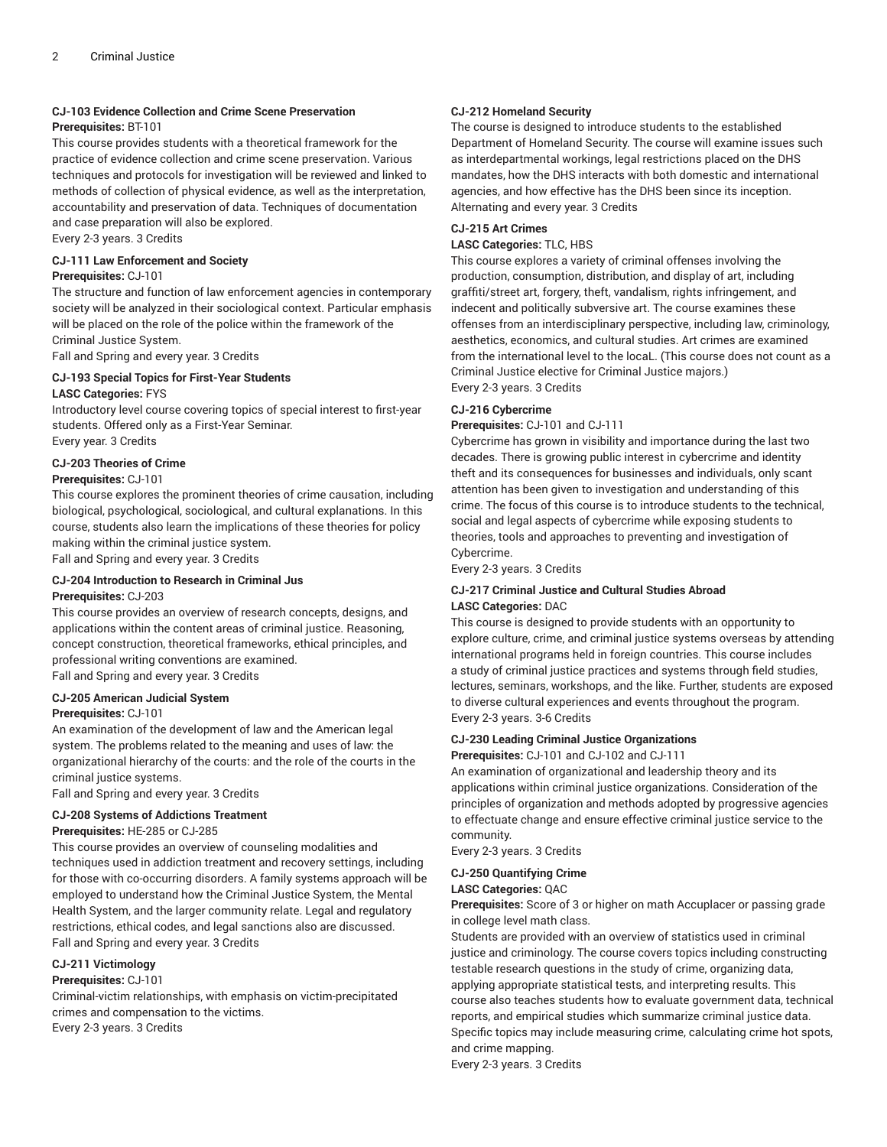# **CJ-103 Evidence Collection and Crime Scene Preservation**

#### **Prerequisites:** BT-101

This course provides students with a theoretical framework for the practice of evidence collection and crime scene preservation. Various techniques and protocols for investigation will be reviewed and linked to methods of collection of physical evidence, as well as the interpretation, accountability and preservation of data. Techniques of documentation and case preparation will also be explored.

Every 2-3 years. 3 Credits

#### **CJ-111 Law Enforcement and Society Prerequisites:** CJ-101

The structure and function of law enforcement agencies in contemporary society will be analyzed in their sociological context. Particular emphasis will be placed on the role of the police within the framework of the Criminal Justice System.

Fall and Spring and every year. 3 Credits

# **CJ-193 Special Topics for First-Year Students**

# **LASC Categories:** FYS

Introductory level course covering topics of special interest to first-year students. Offered only as a First-Year Seminar. Every year. 3 Credits

# **CJ-203 Theories of Crime**

#### **Prerequisites:** CJ-101

This course explores the prominent theories of crime causation, including biological, psychological, sociological, and cultural explanations. In this course, students also learn the implications of these theories for policy making within the criminal justice system.

Fall and Spring and every year. 3 Credits

# **CJ-204 Introduction to Research in Criminal Jus**

#### **Prerequisites:** CJ-203

This course provides an overview of research concepts, designs, and applications within the content areas of criminal justice. Reasoning, concept construction, theoretical frameworks, ethical principles, and professional writing conventions are examined. Fall and Spring and every year. 3 Credits

#### **CJ-205 American Judicial System**

#### **Prerequisites:** CJ-101

An examination of the development of law and the American legal system. The problems related to the meaning and uses of law: the organizational hierarchy of the courts: and the role of the courts in the criminal justice systems.

Fall and Spring and every year. 3 Credits

#### **CJ-208 Systems of Addictions Treatment**

#### **Prerequisites:** HE-285 or CJ-285

This course provides an overview of counseling modalities and techniques used in addiction treatment and recovery settings, including for those with co-occurring disorders. A family systems approach will be employed to understand how the Criminal Justice System, the Mental Health System, and the larger community relate. Legal and regulatory restrictions, ethical codes, and legal sanctions also are discussed. Fall and Spring and every year. 3 Credits

# **CJ-211 Victimology**

#### **Prerequisites:** CJ-101

Criminal-victim relationships, with emphasis on victim-precipitated crimes and compensation to the victims. Every 2-3 years. 3 Credits

#### **CJ-212 Homeland Security**

The course is designed to introduce students to the established Department of Homeland Security. The course will examine issues such as interdepartmental workings, legal restrictions placed on the DHS mandates, how the DHS interacts with both domestic and international agencies, and how effective has the DHS been since its inception. Alternating and every year. 3 Credits

# **CJ-215 Art Crimes**

#### **LASC Categories:** TLC, HBS

This course explores a variety of criminal offenses involving the production, consumption, distribution, and display of art, including graffiti/street art, forgery, theft, vandalism, rights infringement, and indecent and politically subversive art. The course examines these offenses from an interdisciplinary perspective, including law, criminology, aesthetics, economics, and cultural studies. Art crimes are examined from the international level to the locaL. (This course does not count as a Criminal Justice elective for Criminal Justice majors.) Every 2-3 years. 3 Credits

#### **CJ-216 Cybercrime**

**Prerequisites:** CJ-101 and CJ-111

Cybercrime has grown in visibility and importance during the last two decades. There is growing public interest in cybercrime and identity theft and its consequences for businesses and individuals, only scant attention has been given to investigation and understanding of this crime. The focus of this course is to introduce students to the technical, social and legal aspects of cybercrime while exposing students to theories, tools and approaches to preventing and investigation of Cybercrime.

Every 2-3 years. 3 Credits

# **CJ-217 Criminal Justice and Cultural Studies Abroad LASC Categories:** DAC

This course is designed to provide students with an opportunity to explore culture, crime, and criminal justice systems overseas by attending international programs held in foreign countries. This course includes a study of criminal justice practices and systems through field studies, lectures, seminars, workshops, and the like. Further, students are exposed to diverse cultural experiences and events throughout the program. Every 2-3 years. 3-6 Credits

#### **CJ-230 Leading Criminal Justice Organizations**

**Prerequisites:** CJ-101 and CJ-102 and CJ-111

An examination of organizational and leadership theory and its applications within criminal justice organizations. Consideration of the principles of organization and methods adopted by progressive agencies to effectuate change and ensure effective criminal justice service to the community.

Every 2-3 years. 3 Credits

#### **CJ-250 Quantifying Crime LASC Categories:** QAC

**Prerequisites:** Score of 3 or higher on math Accuplacer or passing grade in college level math class.

Students are provided with an overview of statistics used in criminal justice and criminology. The course covers topics including constructing testable research questions in the study of crime, organizing data, applying appropriate statistical tests, and interpreting results. This course also teaches students how to evaluate government data, technical reports, and empirical studies which summarize criminal justice data. Specific topics may include measuring crime, calculating crime hot spots, and crime mapping.

Every 2-3 years. 3 Credits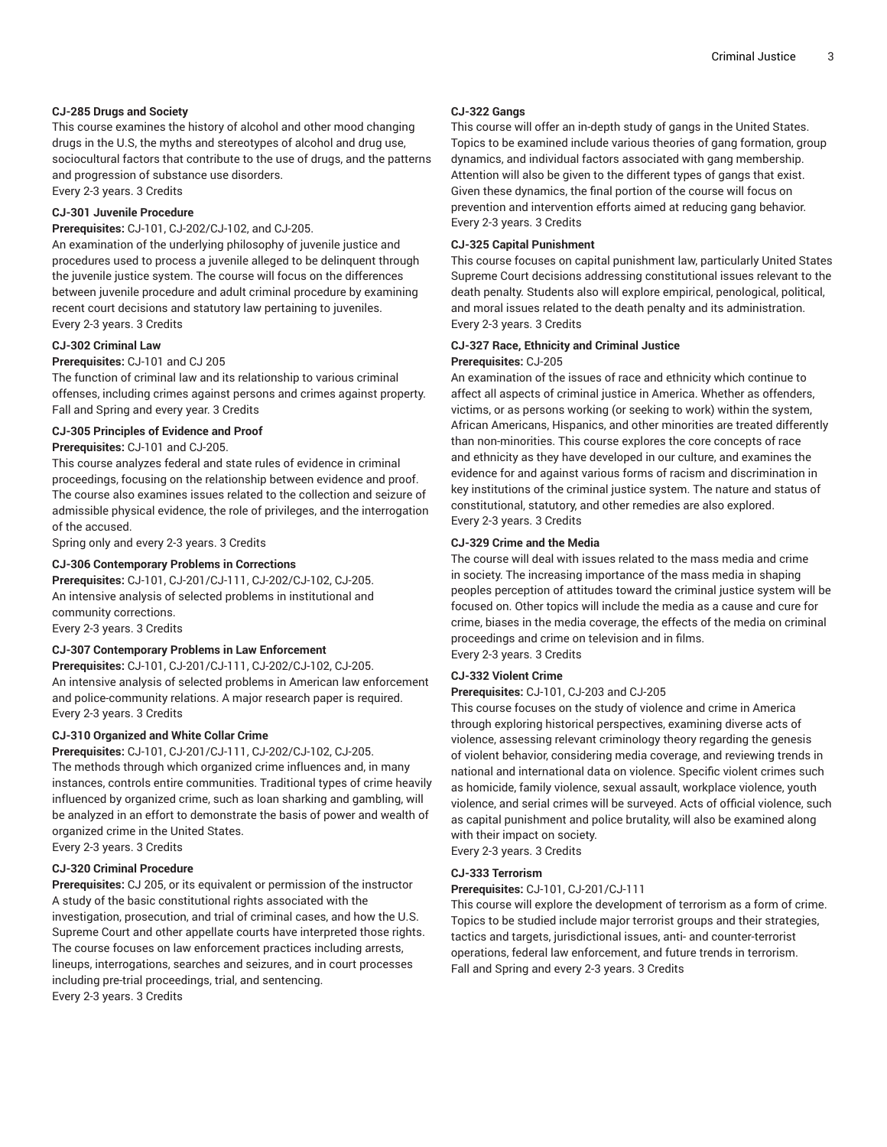# **CJ-285 Drugs and Society**

This course examines the history of alcohol and other mood changing drugs in the U.S, the myths and stereotypes of alcohol and drug use, sociocultural factors that contribute to the use of drugs, and the patterns and progression of substance use disorders. Every 2-3 years. 3 Credits

# **CJ-301 Juvenile Procedure**

**Prerequisites:** CJ-101, CJ-202/CJ-102, and CJ-205.

An examination of the underlying philosophy of juvenile justice and procedures used to process a juvenile alleged to be delinquent through the juvenile justice system. The course will focus on the differences between juvenile procedure and adult criminal procedure by examining recent court decisions and statutory law pertaining to juveniles. Every 2-3 years. 3 Credits

#### **CJ-302 Criminal Law**

#### **Prerequisites:** CJ-101 and CJ 205

The function of criminal law and its relationship to various criminal offenses, including crimes against persons and crimes against property. Fall and Spring and every year. 3 Credits

#### **CJ-305 Principles of Evidence and Proof**

#### **Prerequisites:** CJ-101 and CJ-205.

This course analyzes federal and state rules of evidence in criminal proceedings, focusing on the relationship between evidence and proof. The course also examines issues related to the collection and seizure of admissible physical evidence, the role of privileges, and the interrogation of the accused.

Spring only and every 2-3 years. 3 Credits

#### **CJ-306 Contemporary Problems in Corrections**

**Prerequisites:** CJ-101, CJ-201/CJ-111, CJ-202/CJ-102, CJ-205. An intensive analysis of selected problems in institutional and community corrections. Every 2-3 years. 3 Credits

#### **CJ-307 Contemporary Problems in Law Enforcement**

**Prerequisites:** CJ-101, CJ-201/CJ-111, CJ-202/CJ-102, CJ-205. An intensive analysis of selected problems in American law enforcement and police-community relations. A major research paper is required. Every 2-3 years. 3 Credits

#### **CJ-310 Organized and White Collar Crime**

**Prerequisites:** CJ-101, CJ-201/CJ-111, CJ-202/CJ-102, CJ-205. The methods through which organized crime influences and, in many instances, controls entire communities. Traditional types of crime heavily influenced by organized crime, such as loan sharking and gambling, will be analyzed in an effort to demonstrate the basis of power and wealth of organized crime in the United States.

Every 2-3 years. 3 Credits

# **CJ-320 Criminal Procedure**

**Prerequisites:** CJ 205, or its equivalent or permission of the instructor A study of the basic constitutional rights associated with the investigation, prosecution, and trial of criminal cases, and how the U.S. Supreme Court and other appellate courts have interpreted those rights. The course focuses on law enforcement practices including arrests, lineups, interrogations, searches and seizures, and in court processes including pre-trial proceedings, trial, and sentencing. Every 2-3 years. 3 Credits

#### **CJ-322 Gangs**

This course will offer an in-depth study of gangs in the United States. Topics to be examined include various theories of gang formation, group dynamics, and individual factors associated with gang membership. Attention will also be given to the different types of gangs that exist. Given these dynamics, the final portion of the course will focus on prevention and intervention efforts aimed at reducing gang behavior. Every 2-3 years. 3 Credits

#### **CJ-325 Capital Punishment**

This course focuses on capital punishment law, particularly United States Supreme Court decisions addressing constitutional issues relevant to the death penalty. Students also will explore empirical, penological, political, and moral issues related to the death penalty and its administration. Every 2-3 years. 3 Credits

#### **CJ-327 Race, Ethnicity and Criminal Justice Prerequisites:** CJ-205

An examination of the issues of race and ethnicity which continue to affect all aspects of criminal justice in America. Whether as offenders, victims, or as persons working (or seeking to work) within the system, African Americans, Hispanics, and other minorities are treated differently than non-minorities. This course explores the core concepts of race and ethnicity as they have developed in our culture, and examines the evidence for and against various forms of racism and discrimination in key institutions of the criminal justice system. The nature and status of constitutional, statutory, and other remedies are also explored. Every 2-3 years. 3 Credits

#### **CJ-329 Crime and the Media**

The course will deal with issues related to the mass media and crime in society. The increasing importance of the mass media in shaping peoples perception of attitudes toward the criminal justice system will be focused on. Other topics will include the media as a cause and cure for crime, biases in the media coverage, the effects of the media on criminal proceedings and crime on television and in films. Every 2-3 years. 3 Credits

#### **CJ-332 Violent Crime**

#### **Prerequisites:** CJ-101, CJ-203 and CJ-205

This course focuses on the study of violence and crime in America through exploring historical perspectives, examining diverse acts of violence, assessing relevant criminology theory regarding the genesis of violent behavior, considering media coverage, and reviewing trends in national and international data on violence. Specific violent crimes such as homicide, family violence, sexual assault, workplace violence, youth violence, and serial crimes will be surveyed. Acts of official violence, such as capital punishment and police brutality, will also be examined along with their impact on society.

Every 2-3 years. 3 Credits

#### **CJ-333 Terrorism**

#### **Prerequisites:** CJ-101, CJ-201/CJ-111

This course will explore the development of terrorism as a form of crime. Topics to be studied include major terrorist groups and their strategies, tactics and targets, jurisdictional issues, anti- and counter-terrorist operations, federal law enforcement, and future trends in terrorism. Fall and Spring and every 2-3 years. 3 Credits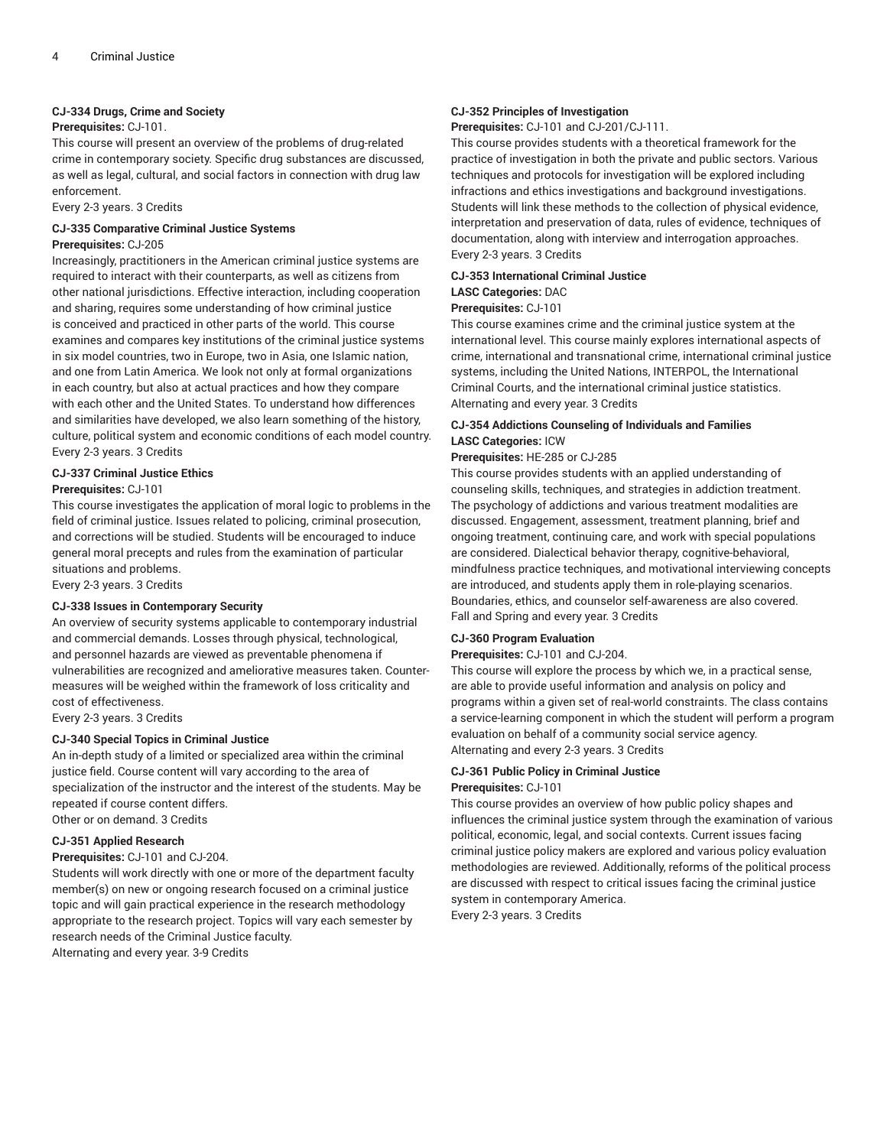### **CJ-334 Drugs, Crime and Society**

# **Prerequisites:** CJ-101.

This course will present an overview of the problems of drug-related crime in contemporary society. Specific drug substances are discussed, as well as legal, cultural, and social factors in connection with drug law enforcement.

Every 2-3 years. 3 Credits

#### **CJ-335 Comparative Criminal Justice Systems Prerequisites:** CJ-205

Increasingly, practitioners in the American criminal justice systems are required to interact with their counterparts, as well as citizens from other national jurisdictions. Effective interaction, including cooperation and sharing, requires some understanding of how criminal justice is conceived and practiced in other parts of the world. This course examines and compares key institutions of the criminal justice systems in six model countries, two in Europe, two in Asia, one Islamic nation, and one from Latin America. We look not only at formal organizations in each country, but also at actual practices and how they compare with each other and the United States. To understand how differences and similarities have developed, we also learn something of the history, culture, political system and economic conditions of each model country. Every 2-3 years. 3 Credits

# **CJ-337 Criminal Justice Ethics**

# **Prerequisites:** CJ-101

This course investigates the application of moral logic to problems in the field of criminal justice. Issues related to policing, criminal prosecution, and corrections will be studied. Students will be encouraged to induce general moral precepts and rules from the examination of particular situations and problems.

Every 2-3 years. 3 Credits

#### **CJ-338 Issues in Contemporary Security**

An overview of security systems applicable to contemporary industrial and commercial demands. Losses through physical, technological, and personnel hazards are viewed as preventable phenomena if vulnerabilities are recognized and ameliorative measures taken. Countermeasures will be weighed within the framework of loss criticality and cost of effectiveness.

Every 2-3 years. 3 Credits

# **CJ-340 Special Topics in Criminal Justice**

An in-depth study of a limited or specialized area within the criminal justice field. Course content will vary according to the area of specialization of the instructor and the interest of the students. May be repeated if course content differs. Other or on demand. 3 Credits

**CJ-351 Applied Research**

# **Prerequisites:** CJ-101 and CJ-204.

Students will work directly with one or more of the department faculty member(s) on new or ongoing research focused on a criminal justice topic and will gain practical experience in the research methodology appropriate to the research project. Topics will vary each semester by research needs of the Criminal Justice faculty. Alternating and every year. 3-9 Credits

### **CJ-352 Principles of Investigation**

**Prerequisites:** CJ-101 and CJ-201/CJ-111.

This course provides students with a theoretical framework for the practice of investigation in both the private and public sectors. Various techniques and protocols for investigation will be explored including infractions and ethics investigations and background investigations. Students will link these methods to the collection of physical evidence, interpretation and preservation of data, rules of evidence, techniques of documentation, along with interview and interrogation approaches. Every 2-3 years. 3 Credits

# **CJ-353 International Criminal Justice**

# **LASC Categories:** DAC

# **Prerequisites:** CJ-101

This course examines crime and the criminal justice system at the international level. This course mainly explores international aspects of crime, international and transnational crime, international criminal justice systems, including the United Nations, INTERPOL, the International Criminal Courts, and the international criminal justice statistics. Alternating and every year. 3 Credits

# **CJ-354 Addictions Counseling of Individuals and Families LASC Categories:** ICW

#### **Prerequisites:** HE-285 or CJ-285

This course provides students with an applied understanding of counseling skills, techniques, and strategies in addiction treatment. The psychology of addictions and various treatment modalities are discussed. Engagement, assessment, treatment planning, brief and ongoing treatment, continuing care, and work with special populations are considered. Dialectical behavior therapy, cognitive-behavioral, mindfulness practice techniques, and motivational interviewing concepts are introduced, and students apply them in role-playing scenarios. Boundaries, ethics, and counselor self-awareness are also covered. Fall and Spring and every year. 3 Credits

# **CJ-360 Program Evaluation**

**Prerequisites:** CJ-101 and CJ-204.

This course will explore the process by which we, in a practical sense, are able to provide useful information and analysis on policy and programs within a given set of real-world constraints. The class contains a service-learning component in which the student will perform a program evaluation on behalf of a community social service agency. Alternating and every 2-3 years. 3 Credits

# **CJ-361 Public Policy in Criminal Justice**

#### **Prerequisites:** CJ-101

This course provides an overview of how public policy shapes and influences the criminal justice system through the examination of various political, economic, legal, and social contexts. Current issues facing criminal justice policy makers are explored and various policy evaluation methodologies are reviewed. Additionally, reforms of the political process are discussed with respect to critical issues facing the criminal justice system in contemporary America.

Every 2-3 years. 3 Credits